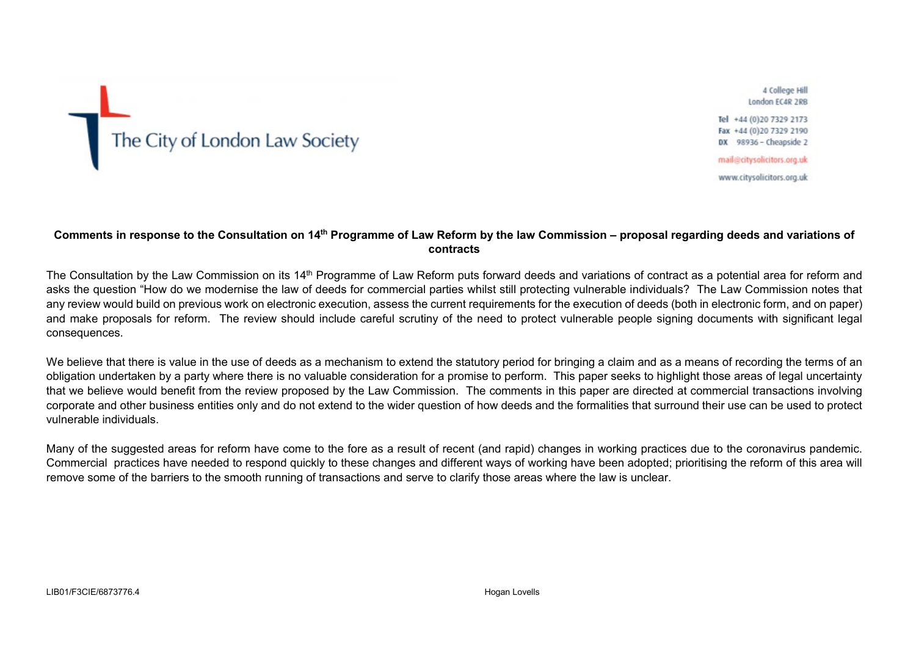

4 College Hill London FC4R 2RB

Tel +44 (0) 20 7329 2173 Fax +44 (0)20 7329 2190 DX 98936 - Cheapside 2

mail@citysolicitors.org.uk

www.citysolicitors.org.uk

## **Comments in response to the Consultation on 14th Programme of Law Reform by the law Commission – proposal regarding deeds and variations of contracts**

The Consultation by the Law Commission on its 14<sup>th</sup> Programme of Law Reform puts forward deeds and variations of contract as a potential area for reform and asks the question "How do we modernise the law of deeds for commercial parties whilst still protecting vulnerable individuals? The Law Commission notes that any review would build on previous work on electronic execution, assess the current requirements for the execution of deeds (both in electronic form, and on paper) and make proposals for reform. The review should include careful scrutiny of the need to protect vulnerable people signing documents with significant legal consequences.

We believe that there is value in the use of deeds as a mechanism to extend the statutory period for bringing a claim and as a means of recording the terms of an obligation undertaken by a party where there is no valuable consideration for a promise to perform. This paper seeks to highlight those areas of legal uncertainty that we believe would benefit from the review proposed by the Law Commission. The comments in this paper are directed at commercial transactions involving corporate and other business entities only and do not extend to the wider question of how deeds and the formalities that surround their use can be used to protect vulnerable individuals.

Many of the suggested areas for reform have come to the fore as a result of recent (and rapid) changes in working practices due to the coronavirus pandemic. Commercial practices have needed to respond quickly to these changes and different ways of working have been adopted; prioritising the reform of this area will remove some of the barriers to the smooth running of transactions and serve to clarify those areas where the law is unclear.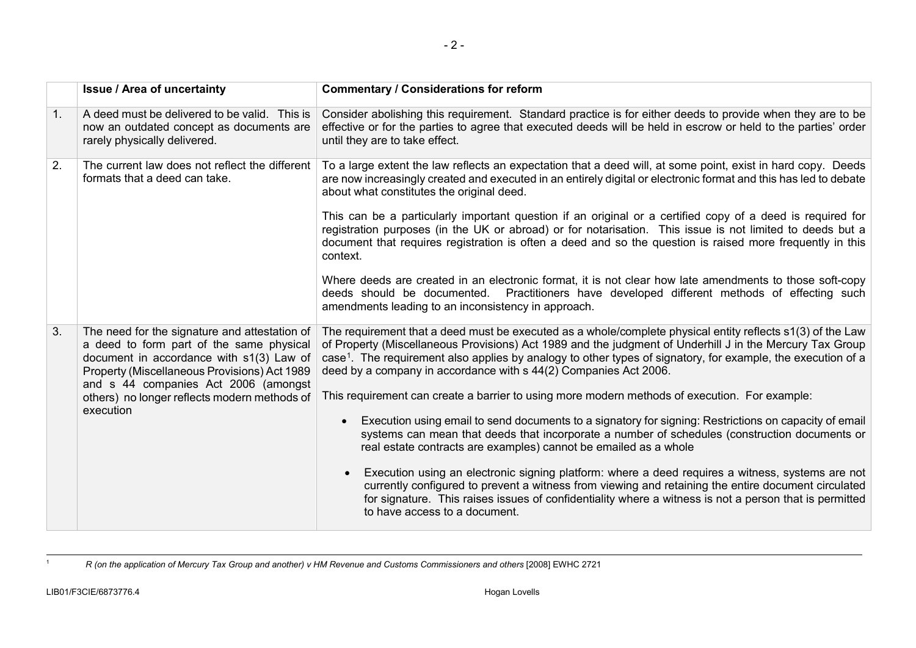<span id="page-1-0"></span>

|    | <b>Issue / Area of uncertainty</b>                                                                                                                                                                                                                                                         | <b>Commentary / Considerations for reform</b>                                                                                                                                                                                                                                                                                                                                                                          |
|----|--------------------------------------------------------------------------------------------------------------------------------------------------------------------------------------------------------------------------------------------------------------------------------------------|------------------------------------------------------------------------------------------------------------------------------------------------------------------------------------------------------------------------------------------------------------------------------------------------------------------------------------------------------------------------------------------------------------------------|
| 1. | A deed must be delivered to be valid. This is<br>now an outdated concept as documents are<br>rarely physically delivered.                                                                                                                                                                  | Consider abolishing this requirement. Standard practice is for either deeds to provide when they are to be<br>effective or for the parties to agree that executed deeds will be held in escrow or held to the parties' order<br>until they are to take effect.                                                                                                                                                         |
| 2. | The current law does not reflect the different<br>formats that a deed can take.                                                                                                                                                                                                            | To a large extent the law reflects an expectation that a deed will, at some point, exist in hard copy. Deeds<br>are now increasingly created and executed in an entirely digital or electronic format and this has led to debate<br>about what constitutes the original deed.                                                                                                                                          |
|    |                                                                                                                                                                                                                                                                                            | This can be a particularly important question if an original or a certified copy of a deed is required for<br>registration purposes (in the UK or abroad) or for notarisation. This issue is not limited to deeds but a<br>document that requires registration is often a deed and so the question is raised more frequently in this<br>context.                                                                       |
|    |                                                                                                                                                                                                                                                                                            | Where deeds are created in an electronic format, it is not clear how late amendments to those soft-copy<br>deeds should be documented. Practitioners have developed different methods of effecting such<br>amendments leading to an inconsistency in approach.                                                                                                                                                         |
| 3. | The need for the signature and attestation of<br>a deed to form part of the same physical<br>document in accordance with s1(3) Law of<br>Property (Miscellaneous Provisions) Act 1989<br>and s 44 companies Act 2006 (amongst<br>others) no longer reflects modern methods of<br>execution | The requirement that a deed must be executed as a whole/complete physical entity reflects s1(3) of the Law<br>of Property (Miscellaneous Provisions) Act 1989 and the judgment of Underhill J in the Mercury Tax Group<br>case <sup>1</sup> . The requirement also applies by analogy to other types of signatory, for example, the execution of a<br>deed by a company in accordance with s 44(2) Companies Act 2006. |
|    |                                                                                                                                                                                                                                                                                            | This requirement can create a barrier to using more modern methods of execution. For example:                                                                                                                                                                                                                                                                                                                          |
|    |                                                                                                                                                                                                                                                                                            | Execution using email to send documents to a signatory for signing: Restrictions on capacity of email<br>systems can mean that deeds that incorporate a number of schedules (construction documents or<br>real estate contracts are examples) cannot be emailed as a whole                                                                                                                                             |
|    |                                                                                                                                                                                                                                                                                            | Execution using an electronic signing platform: where a deed requires a witness, systems are not<br>currently configured to prevent a witness from viewing and retaining the entire document circulated<br>for signature. This raises issues of confidentiality where a witness is not a person that is permitted<br>to have access to a document.                                                                     |

1 *R (on the application of Mercury Tax Group and another) v HM Revenue and Customs Commissioners and others* [2008] EWHC 2721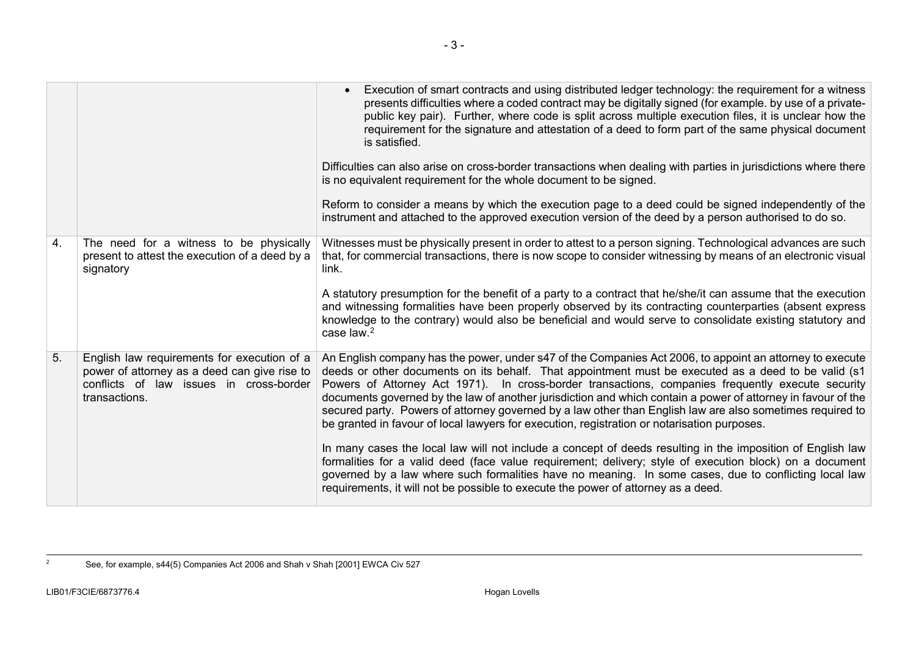<span id="page-2-0"></span>

|    |                                                                                                                                                         | Execution of smart contracts and using distributed ledger technology: the requirement for a witness<br>presents difficulties where a coded contract may be digitally signed (for example. by use of a private-<br>public key pair). Further, where code is split across multiple execution files, it is unclear how the<br>requirement for the signature and attestation of a deed to form part of the same physical document<br>is satisfied.<br>Difficulties can also arise on cross-border transactions when dealing with parties in jurisdictions where there<br>is no equivalent requirement for the whole document to be signed.<br>Reform to consider a means by which the execution page to a deed could be signed independently of the<br>instrument and attached to the approved execution version of the deed by a person authorised to do so.                                                                                                                          |
|----|---------------------------------------------------------------------------------------------------------------------------------------------------------|------------------------------------------------------------------------------------------------------------------------------------------------------------------------------------------------------------------------------------------------------------------------------------------------------------------------------------------------------------------------------------------------------------------------------------------------------------------------------------------------------------------------------------------------------------------------------------------------------------------------------------------------------------------------------------------------------------------------------------------------------------------------------------------------------------------------------------------------------------------------------------------------------------------------------------------------------------------------------------|
| 4. | The need for a witness to be physically<br>present to attest the execution of a deed by a<br>signatory                                                  | Witnesses must be physically present in order to attest to a person signing. Technological advances are such<br>that, for commercial transactions, there is now scope to consider witnessing by means of an electronic visual<br>link.<br>A statutory presumption for the benefit of a party to a contract that he/she/it can assume that the execution<br>and witnessing formalities have been properly observed by its contracting counterparties (absent express<br>knowledge to the contrary) would also be beneficial and would serve to consolidate existing statutory and<br>case law. <sup>2</sup>                                                                                                                                                                                                                                                                                                                                                                         |
| 5. | English law requirements for execution of a<br>power of attorney as a deed can give rise to<br>conflicts of law issues in cross-border<br>transactions. | An English company has the power, under s47 of the Companies Act 2006, to appoint an attorney to execute<br>deeds or other documents on its behalf. That appointment must be executed as a deed to be valid (s1<br>Powers of Attorney Act 1971). In cross-border transactions, companies frequently execute security<br>documents governed by the law of another jurisdiction and which contain a power of attorney in favour of the<br>secured party. Powers of attorney governed by a law other than English law are also sometimes required to<br>be granted in favour of local lawyers for execution, registration or notarisation purposes.<br>In many cases the local law will not include a concept of deeds resulting in the imposition of English law<br>formalities for a valid deed (face value requirement; delivery; style of execution block) on a document<br>governed by a law where such formalities have no meaning. In some cases, due to conflicting local law |
|    |                                                                                                                                                         | requirements, it will not be possible to execute the power of attorney as a deed.                                                                                                                                                                                                                                                                                                                                                                                                                                                                                                                                                                                                                                                                                                                                                                                                                                                                                                  |

<sup>&</sup>lt;sup>2</sup> See, for example, s44(5) Companies Act 2006 and Shah v Shah [2001] EWCA Civ 527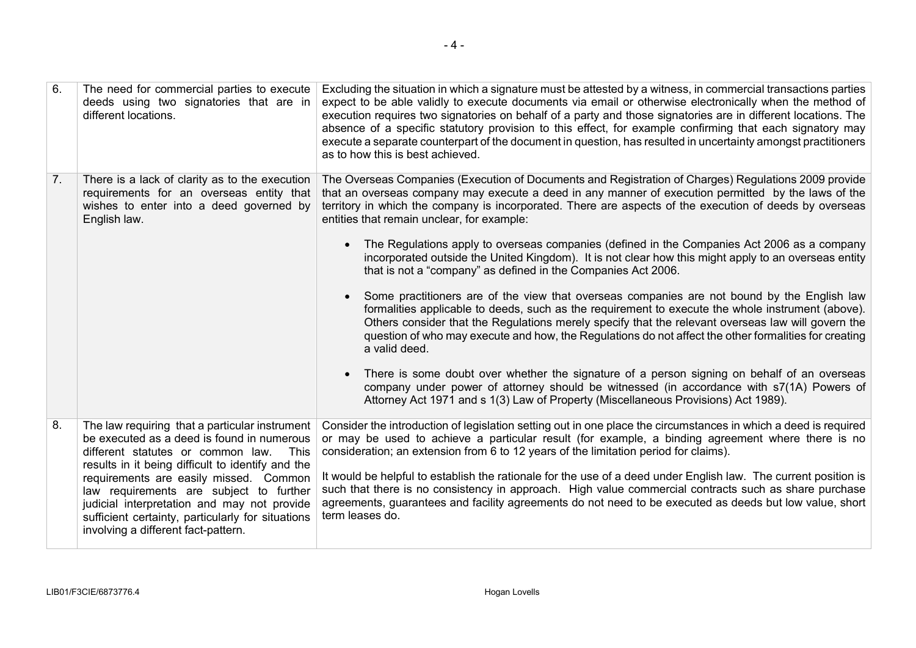| 6. | The need for commercial parties to execute<br>deeds using two signatories that are in<br>different locations.                                                                                                                                                                                                                                                                                                                  | Excluding the situation in which a signature must be attested by a witness, in commercial transactions parties<br>expect to be able validly to execute documents via email or otherwise electronically when the method of<br>execution requires two signatories on behalf of a party and those signatories are in different locations. The<br>absence of a specific statutory provision to this effect, for example confirming that each signatory may<br>execute a separate counterpart of the document in question, has resulted in uncertainty amongst practitioners<br>as to how this is best achieved.                                                                                                                                                                                                                                                                                                                                                                                                                                                                                                                                                                                                                                                                 |
|----|--------------------------------------------------------------------------------------------------------------------------------------------------------------------------------------------------------------------------------------------------------------------------------------------------------------------------------------------------------------------------------------------------------------------------------|-----------------------------------------------------------------------------------------------------------------------------------------------------------------------------------------------------------------------------------------------------------------------------------------------------------------------------------------------------------------------------------------------------------------------------------------------------------------------------------------------------------------------------------------------------------------------------------------------------------------------------------------------------------------------------------------------------------------------------------------------------------------------------------------------------------------------------------------------------------------------------------------------------------------------------------------------------------------------------------------------------------------------------------------------------------------------------------------------------------------------------------------------------------------------------------------------------------------------------------------------------------------------------|
| 7. | There is a lack of clarity as to the execution<br>requirements for an overseas entity that<br>wishes to enter into a deed governed by<br>English law.                                                                                                                                                                                                                                                                          | The Overseas Companies (Execution of Documents and Registration of Charges) Regulations 2009 provide<br>that an overseas company may execute a deed in any manner of execution permitted by the laws of the<br>territory in which the company is incorporated. There are aspects of the execution of deeds by overseas<br>entities that remain unclear, for example:<br>The Regulations apply to overseas companies (defined in the Companies Act 2006 as a company<br>incorporated outside the United Kingdom). It is not clear how this might apply to an overseas entity<br>that is not a "company" as defined in the Companies Act 2006.<br>Some practitioners are of the view that overseas companies are not bound by the English law<br>formalities applicable to deeds, such as the requirement to execute the whole instrument (above).<br>Others consider that the Regulations merely specify that the relevant overseas law will govern the<br>question of who may execute and how, the Regulations do not affect the other formalities for creating<br>a valid deed.<br>There is some doubt over whether the signature of a person signing on behalf of an overseas<br>company under power of attorney should be witnessed (in accordance with s7(1A) Powers of |
|    |                                                                                                                                                                                                                                                                                                                                                                                                                                | Attorney Act 1971 and s 1(3) Law of Property (Miscellaneous Provisions) Act 1989).                                                                                                                                                                                                                                                                                                                                                                                                                                                                                                                                                                                                                                                                                                                                                                                                                                                                                                                                                                                                                                                                                                                                                                                          |
| 8. | The law requiring that a particular instrument<br>be executed as a deed is found in numerous<br>different statutes or common law.<br>This<br>results in it being difficult to identify and the<br>requirements are easily missed. Common<br>law requirements are subject to further<br>judicial interpretation and may not provide<br>sufficient certainty, particularly for situations<br>involving a different fact-pattern. | Consider the introduction of legislation setting out in one place the circumstances in which a deed is required<br>or may be used to achieve a particular result (for example, a binding agreement where there is no<br>consideration; an extension from 6 to 12 years of the limitation period for claims).<br>It would be helpful to establish the rationale for the use of a deed under English law. The current position is<br>such that there is no consistency in approach. High value commercial contracts such as share purchase<br>agreements, guarantees and facility agreements do not need to be executed as deeds but low value, short<br>term leases do.                                                                                                                                                                                                                                                                                                                                                                                                                                                                                                                                                                                                      |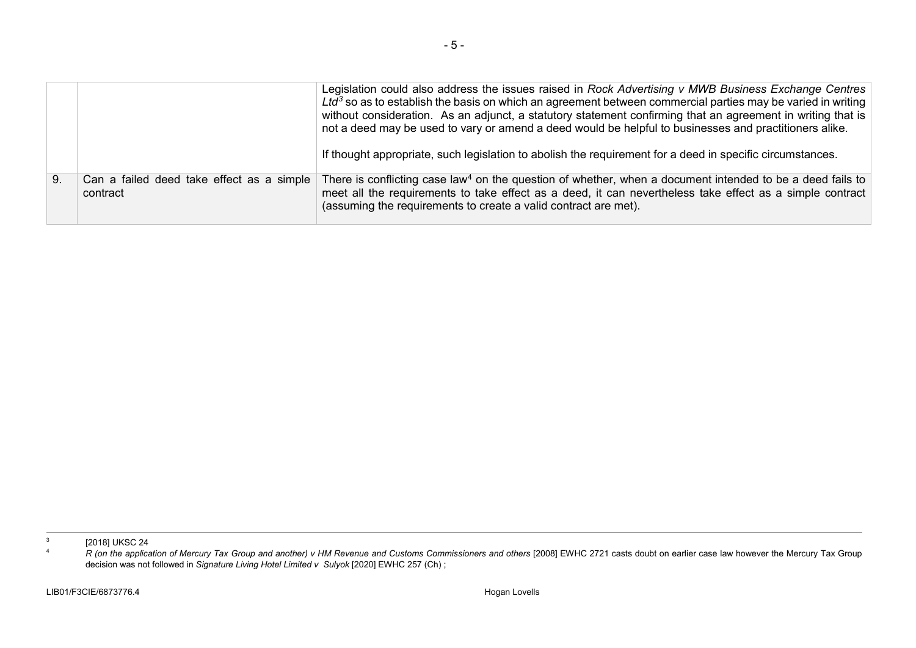<span id="page-4-1"></span><span id="page-4-0"></span>

|    |                                                       | Legislation could also address the issues raised in Rock Advertising v MWB Business Exchange Centres<br>$Ltd3$ so as to establish the basis on which an agreement between commercial parties may be varied in writing<br>without consideration. As an adjunct, a statutory statement confirming that an agreement in writing that is<br>not a deed may be used to vary or amend a deed would be helpful to businesses and practitioners alike.<br>If thought appropriate, such legislation to abolish the requirement for a deed in specific circumstances. |
|----|-------------------------------------------------------|-------------------------------------------------------------------------------------------------------------------------------------------------------------------------------------------------------------------------------------------------------------------------------------------------------------------------------------------------------------------------------------------------------------------------------------------------------------------------------------------------------------------------------------------------------------|
| 9. | Can a failed deed take effect as a simple<br>contract | There is conflicting case law <sup>4</sup> on the question of whether, when a document intended to be a deed fails to<br>meet all the requirements to take effect as a deed, it can nevertheless take effect as a simple contract<br>(assuming the requirements to create a valid contract are met).                                                                                                                                                                                                                                                        |

<sup>&</sup>lt;sup>3</sup> [2018] UKSC 24<br>*A R (on the application of Mercury Tax Group and another) v HM Revenue and Customs Commissioners and others [2008] EWHC 2721 casts doubt on earlier case law however the Mercury Tax Group* decision was not followed in *Signature Living Hotel Limited v Sulyok* [2020] EWHC 257 (Ch) ;